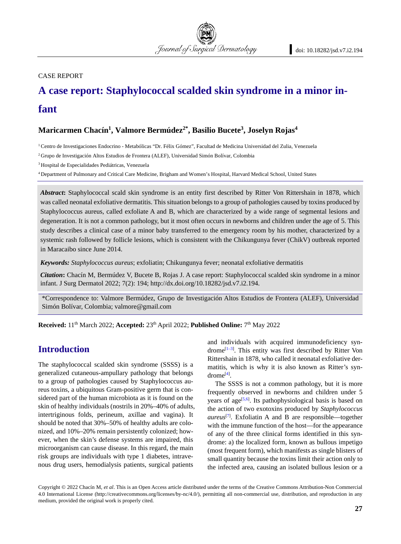#### CASE REPORT

# **A case report: Staphylococcal scalded skin syndrome in a minor infant**

Journal of Surgical Dermatology

## **Maricarmen Chacín1, Valmore Bermúdez2\*, Basilio Bucete3, Joselyn Rojas4**

1 Centro de Investigaciones Endocrino - Metabólicas "Dr. Félix Gómez", Facultad de Medicina Universidad del Zulia, Venezuela

<sup>2</sup> Grupo de Investigación Altos Estudios de Frontera (ALEF), Universidad Simón Bolívar, Colombia

3 Hospital de Especialidades Pediátricas, Venezuela

4 Department of Pulmonary and Critical Care Medicine, Brigham and Women's Hospital, Harvard Medical School, United States

*Abstract***:** Staphylococcal scald skin syndrome is an entity first described by Ritter Von Rittershain in 1878, which was called neonatal exfoliative dermatitis. This situation belongs to a group of pathologies caused by toxins produced by Staphylococcus aureus, called exfoliate A and B, which are characterized by a wide range of segmental lesions and degeneration. It is not a common pathology, but it most often occurs in newborns and children under the age of 5. This study describes a clinical case of a minor baby transferred to the emergency room by his mother, characterized by a systemic rash followed by follicle lesions, which is consistent with the Chikungunya fever (ChikV) outbreak reported in Maracaibo since June 2014.

*Keywords: Staphylococcus aureus*; exfoliatin; Chikungunya fever; neonatal exfoliative dermatitis

*Citation***:** Chacín M, Bermúdez V, Bucete B, Rojas J. A case report: Staphylococcal scalded skin syndrome in a minor infant. J Surg Dermatol 2022; 7(2): 194; http://dx.doi.org/10.18282/jsd.v7.i2.194.

\*Correspondence to: Valmore Bermúdez, Grupo de Investigación Altos Estudios de Frontera (ALEF), Universidad Simón Bolívar, Colombia; valmore@gmail.com

**Received:** 11th March 2022; **Accepted:** 23th April 2022; **Published Online:** 7th May 2022

# **Introduction**

The staphylococcal scalded skin syndrome (SSSS) is a generalized cutaneous-ampullary pathology that belongs to a group of pathologies caused by Staphylococcus aureus toxins, a ubiquitous Gram-positive germ that is considered part of the human microbiota as it is found on the skin of healthy individuals (nostrils in 20%–40% of adults, intertriginous folds, perineum, axillae and vagina). It should be noted that 30%–50% of healthy adults are colonized, and 10%–20% remain persistently colonized; however, when the skin's defense systems are impaired, this microorganism can cause disease. In this regard, the main risk groups are individuals with type 1 diabetes, intravenous drug users, hemodialysis patients, surgical patients

and individuals with acquired immunodeficiency syndrome<sup>[1-3]</sup>. This entity was first described by Ritter Von Rittershain in 1878, who called it neonatal exfoliative dermatitis, which is why it is also known as Ritter's syndrome[4] .

The SSSS is not a common pathology, but it is more frequently observed in newborns and children under 5 years of age<sup>[5,6]</sup>. Its pathophysiological basis is based on the action of two exotoxins produced by *Staphylococcus aureus*[7] . Exfoliatin A and B are responsible—together with the immune function of the host—for the appearance of any of the three clinical forms identified in this syndrome: a) the localized form, known as bullous impetigo (most frequent form), which manifests as single blisters of small quantity because the toxins limit their action only to the infected area, causing an isolated bullous lesion or a

Copyright © 2022 Chacín M, *et al*. This is an Open Access article distributed under the terms of the Creative Commons Attribution-Non Commercial 4.0 International License (http://creativecommons.org/licenses/by-nc/4.0/), permitting all non-commercial use, distribution, and reproduction in any medium, provided the original work is properly cited.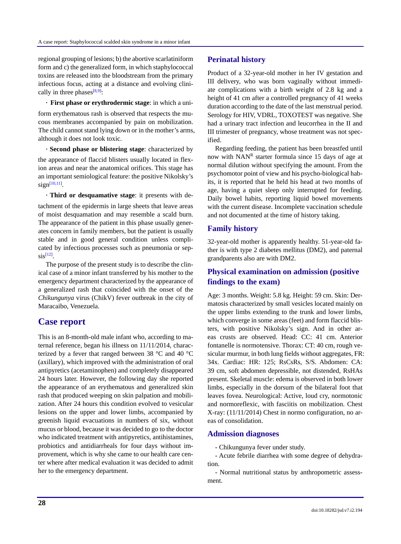regional grouping of lesions; b) the abortive scarlatiniform form and c) the generalized form, in which staphylococcal toxins are released into the bloodstream from the primary infectious focus, acting at a distance and evolving clinically in three phases  $[8,9]$ :

**· First phase or erythrodermic stage**: in which a uniform erythematous rash is observed that respects the mucous membranes accompanied by pain on mobilization. The child cannot stand lying down or in the mother's arms, although it does not look toxic.

**· Second phase or blistering stage**: characterized by the appearance of flaccid blisters usually located in flexion areas and near the anatomical orifices. This stage has an important semiological feature: the positive Nikolsky's  $sign^{[10,11]}.$ 

**· Third or desquamative stage**: it presents with detachment of the epidermis in large sheets that leave areas of moist desquamation and may resemble a scald burn. The appearance of the patient in this phase usually generates concern in family members, but the patient is usually stable and in good general condition unless complicated by infectious processes such as pneumonia or sep- $\sin^{[12]}$ .

The purpose of the present study is to describe the clinical case of a minor infant transferred by his mother to the emergency department characterized by the appearance of a generalized rash that coincided with the onset of the *Chikungunya* virus (ChikV) fever outbreak in the city of Maracaibo, Venezuela.

# **Case report**

This is an 8-month-old male infant who, according to maternal reference, began his illness on 11/11/2014, characterized by a fever that ranged between 38 °C and 40 °C (axillary), which improved with the administration of oral antipyretics (acetaminophen) and completely disappeared 24 hours later. However, the following day she reported the appearance of an erythematous and generalized skin rash that produced weeping on skin palpation and mobilization. After 24 hours this condition evolved to vesicular lesions on the upper and lower limbs, accompanied by greenish liquid evacuations in numbers of six, without mucus or blood, because it was decided to go to the doctor who indicated treatment with antipyretics, antihistamines, probiotics and antidiarrheals for four days without improvement, which is why she came to our health care center where after medical evaluation it was decided to admit her to the emergency department.

#### **Perinatal history**

Product of a 32-year-old mother in her IV gestation and III delivery, who was born vaginally without immediate complications with a birth weight of 2.8 kg and a height of 41 cm after a controlled pregnancy of 41 weeks duration according to the date of the last menstrual period. Serology for HIV, VDRL, TOXOTEST was negative. She had a urinary tract infection and leucorrhea in the II and III trimester of pregnancy, whose treatment was not specified.

Regarding feeding, the patient has been breastfed until now with  $NAN<sup>R</sup>$  starter formula since 15 days of age at normal dilution without specifying the amount. From the psychomotor point of view and his psycho-biological habits, it is reported that he held his head at two months of age, having a quiet sleep only interrupted for feeding. Daily bowel habits, reporting liquid bowel movements with the current disease. Incomplete vaccination schedule and not documented at the time of history taking.

#### **Family history**

32-year-old mother is apparently healthy. 51-year-old father is with type 2 diabetes mellitus (DM2), and paternal grandparents also are with DM2.

# **Physical examination on admission (positive findings to the exam)**

Age: 3 months. Weight: 5.8 kg. Height: 59 cm. Skin: Dermatosis characterized by small vesicles located mainly on the upper limbs extending to the trunk and lower limbs, which converge in some areas (feet) and form flaccid blisters, with positive Nikolsky's sign. And in other areas crusts are observed. Head: CC: 41 cm. Anterior fontanelle is normotensive. Thorax: CT: 40 cm, rough vesicular murmur, in both lung fields without aggregates, FR: 34x. Cardiac: HR: 125; RsCsRs, S/S. Abdomen: CA: 39 cm, soft abdomen depressible, not distended, RsHAs present. Skeletal muscle: edema is observed in both lower limbs, especially in the dorsum of the bilateral foot that leaves fovea. Neurological: Active, loud cry, normotonic and normoreflexic, with fasciitis on mobilization. Chest X-ray: (11/11/2014) Chest in normo configuration, no areas of consolidation.

#### **Admission diagnoses**

- Chikungunya fever under study.

- Acute febrile diarrhea with some degree of dehydration.

- Normal nutritional status by anthropometric assessment.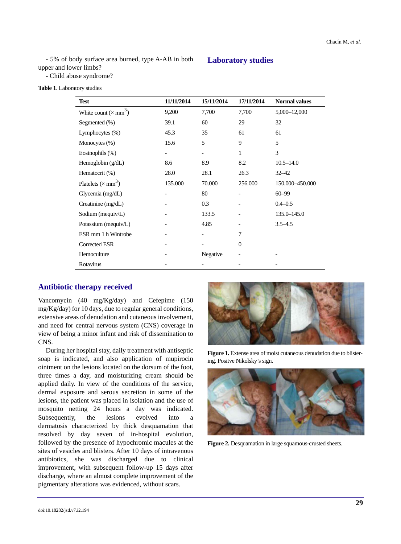- 5% of body surface area burned, type A-AB in both upper and lower limbs?

#### **Laboratory studies**

- Child abuse syndrome?

| Table 1. Laboratory studies |  |
|-----------------------------|--|
|-----------------------------|--|

| <b>Test</b>                              | 11/11/2014 | 15/11/2014 | 17/11/2014 | <b>Normal values</b> |
|------------------------------------------|------------|------------|------------|----------------------|
| White count ( $\times$ mm <sup>3</sup> ) | 9,200      | 7,700      | 7,700      | 5,000-12,000         |
| Segmented (%)                            | 39.1       | 60         | 29         | 32                   |
| Lymphocytes (%)                          | 45.3       | 35         | 61         | 61                   |
| Monocytes (%)                            | 15.6       | 5          | 9          | 5                    |
| Eosinophils $(\%)$                       |            |            | 1          | 3                    |
| Hemoglobin $(g/dL)$                      | 8.6        | 8.9        | 8.2        | $10.5 - 14.0$        |
| Hematocrit (%)                           | 28.0       | 28.1       | 26.3       | $32 - 42$            |
| Platelets ( $\times$ mm <sup>3</sup> )   | 135.000    | 70.000     | 256.000    | 150.000-450.000      |
| Glycemia $(mg/dL)$                       |            | 80         |            | $60 - 99$            |
| Creatinine (mg/dL)                       |            | 0.3        |            | $0.4 - 0.5$          |
| Sodium (mequiv/L)                        |            | 133.5      |            | $135.0 - 145.0$      |
| Potassium (mequiv/L)                     |            | 4.85       |            | $3.5 - 4.5$          |
| ESR mm 1 h Wintrobe                      |            |            | 7          |                      |
| Corrected ESR                            |            |            | $\Omega$   |                      |
| Hemoculture                              |            | Negative   |            |                      |
| Rotavirus                                |            |            |            |                      |

#### **Antibiotic therapy received**

Vancomycin (40 mg/Kg/day) and Cefepime (150 mg/Kg/day) for 10 days, due to regular general conditions, extensive areas of denudation and cutaneous involvement, and need for central nervous system (CNS) coverage in view of being a minor infant and risk of dissemination to CNS.

During her hospital stay, daily treatment with antiseptic soap is indicated, and also application of mupirocin ointment on the lesions located on the dorsum of the foot, three times a day, and moisturizing cream should be applied daily. In view of the conditions of the service, dermal exposure and serous secretion in some of the lesions, the patient was placed in isolation and the use of mosquito netting 24 hours a day was indicated. Subsequently, the lesions evolved into a dermatosis characterized by thick desquamation that resolved by day seven of in-hospital evolution, followed by the presence of hypochromic macules at the sites of vesicles and blisters. After 10 days of intravenous antibiotics, she was discharged due to clinical improvement, with subsequent follow-up 15 days after discharge, where an almost complete improvement of the pigmentary alterations was evidenced, without scars.



Figure 1. Extense area of moist cutaneous denudation due to blistering. Positve Nikolsky's sign.



**Figure 2.** Desquamation in large squamous-crusted sheets.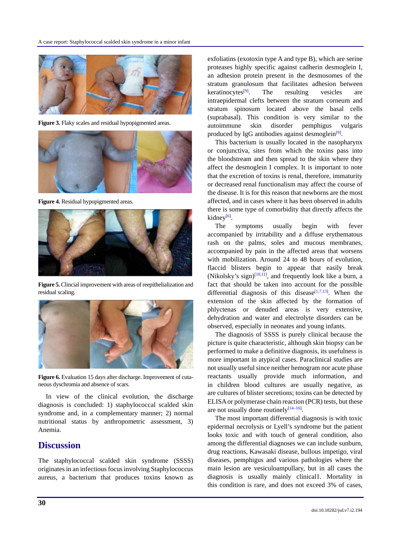

**Figure 3.** Flaky scales and residual hypopigmented areas.



**Figure 4.** Residual hypopigmented areas.



**Figure 5.** Clincial improvement with areas of reepithelialization and residual scaling.



**Figure 6.** Evaluation 15 days after discharge. Improvement of cutaneous dyschromia and absence of scars.

In view of the clinical evolution, the discharge diagnosis is concluded: 1) staphylococcal scalded skin syndrome and, in a complementary manner; 2) normal nutritional status by anthropometric assessment, 3) Anemia.

## **Discussion**

The staphylococcal scalded skin syndrome (SSSS) originates in an infectious focus involving Staphylococcus aureus, a bacterium that produces toxins known as exfoliatins (exotoxin type A and type B), which are serine proteases highly specific against cadherin desmoglein I, an adhesion protein present in the desmosomes of the stratum granulosum that facilitates adhesion between keratinocytes $[9]$ . The resulting vesicles are intraepidermal clefts between the stratum corneum and stratum spinosum located above the basal cells (suprabasal). This condition is very similar to the autoimmune skin disorder pemphigus vulgaris produced by IgG antibodies against desmoglein<sup>[9]</sup>.

This bacterium is usually located in the nasopharynx or conjunctiva, sites from which the toxins pass into the bloodstream and then spread to the skin where they affect the desmoglein I complex. It is important to note that the excretion of toxins is renal, therefore, immaturity or decreased renal functionalism may affect the course of the disease. It is for this reason that newborns are the most affected, and in cases where it has been observed in adults there is some type of comorbidity that directly affects the kidney<sup>[6]</sup>.

The symptoms usually begin with fever accompanied by irritability and a diffuse erythematous rash on the palms, soles and mucous membranes, accompanied by pain in the affected areas that worsens with mobilization. Around 24 to 48 hours of evolution, flaccid blisters begin to appear that easily break (Nikolsky's sign) $\left[10,11\right]$ , and frequently look like a burn, a fact that should be taken into account for the possible differential diagnosis of this disease<sup>[1,7,13]</sup>. When the extension of the skin affected by the formation of phlyctenas or denuded areas is very extensive, dehydration and water and electrolyte disorders can be observed, especially in neonates and young infants.

The diagnosis of SSSS is purely clinical because the picture is quite characteristic, although skin biopsy can be performed to make a definitive diagnosis, its usefulness is more important in atypical cases. Paraclinical studies are not usually useful since neither hemogram nor acute phase reactants usually provide much information, and in children blood cultures are usually negative, as are cultures of blister secretions; toxins can be detected by ELISA or polymerase chain reaction (PCR) tests, but these are not usually done routinely $[14-16]$ .

The most important differential diagnosis is with toxic epidermal necrolysis or Lyell's syndrome but the patient looks toxic and with touch of general condition, also among the differential diagnoses we can include sunburn, drug reactions, Kawasaki disease, bullous impetigo, viral diseases, pemphigus and various pathologies where the main lesion are vesiculoampullary, but in all cases the diagnosis is usually mainly clinical1. Mortality in this condition is rare, and does not exceed 3% of cases,